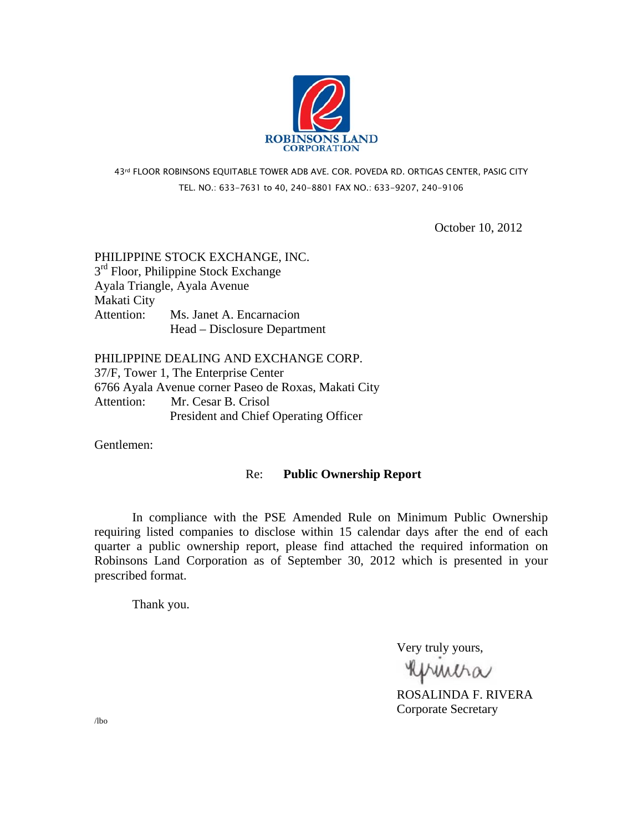

# 43rd FLOOR ROBINSONS EQUITABLE TOWER ADB AVE. COR. POVEDA RD. ORTIGAS CENTER, PASIG CITY TEL. NO.: 633-7631 to 40, 240-8801 FAX NO.: 633-9207, 240-9106

October 10, 2012

# PHILIPPINE STOCK EXCHANGE, INC.  $3<sup>rd</sup>$  Floor, Philippine Stock Exchange Ayala Triangle, Ayala Avenue Makati City Attention: Ms. Janet A. Encarnacion Head – Disclosure Department

PHILIPPINE DEALING AND EXCHANGE CORP. 37/F, Tower 1, The Enterprise Center 6766 Ayala Avenue corner Paseo de Roxas, Makati City Attention: Mr. Cesar B. Crisol President and Chief Operating Officer

Gentlemen:

### Re: **Public Ownership Report**

 In compliance with the PSE Amended Rule on Minimum Public Ownership requiring listed companies to disclose within 15 calendar days after the end of each quarter a public ownership report, please find attached the required information on Robinsons Land Corporation as of September 30, 2012 which is presented in your prescribed format.

Thank you.

Very truly yours,

**RUMMA**<br>ROSALINDA F. RIVERA

Corporate Secretary

/lbo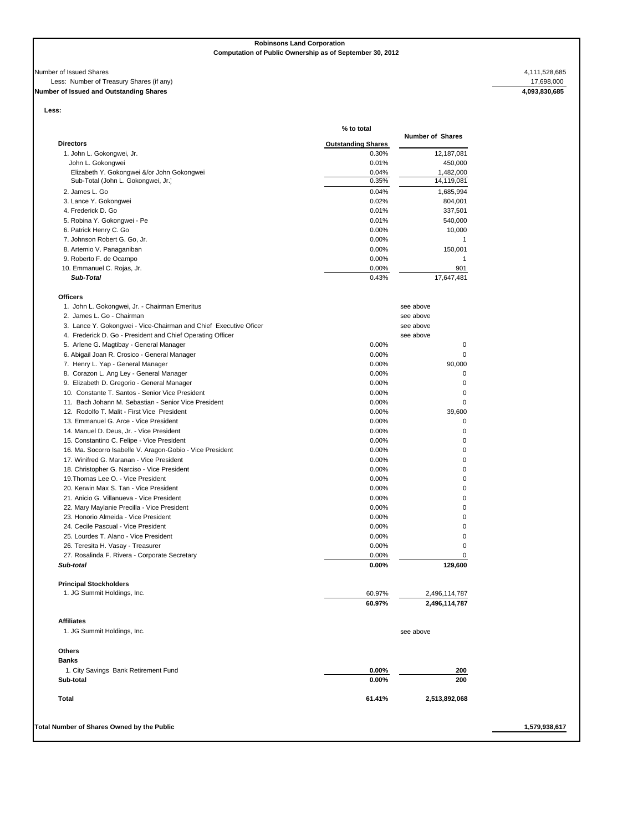**Robinsons Land Corporation Computation of Public Ownership as of September 30, 2012**

#### Number of Issued Shares 4,111,528,685

**Officers**

### Less: Number of Treasury Shares (if any) 17,698,000

# **Number of Issued and Outstanding Shares 4,093,830,685**

**Less:** 

|                                                                  | % to total                |                         |
|------------------------------------------------------------------|---------------------------|-------------------------|
| <b>Directors</b>                                                 | <b>Outstanding Shares</b> | <b>Number of Shares</b> |
| 1. John L. Gokongwei, Jr.                                        | 0.30%                     | 12,187,081              |
| John L. Gokongwei                                                | 0.01%                     | 450,000                 |
| Elizabeth Y. Gokongwei &/or John Gokongwei                       | 0.04%                     | 1,482,000               |
| Sub-Total (John L. Gokongwei, Jr.)                               | 0.35%                     | 14,119,081              |
| 2. James L. Go                                                   | 0.04%                     | 1,685,994               |
| 3. Lance Y. Gokongwei                                            | 0.02%                     | 804,001                 |
| 4. Frederick D. Go                                               | 0.01%                     | 337,501                 |
| 5. Robina Y. Gokongwei - Pe                                      | 0.01%                     | 540,000                 |
| 6. Patrick Henry C. Go                                           | 0.00%                     | 10,000                  |
| 7. Johnson Robert G. Go, Jr.                                     | 0.00%                     | $\mathbf{1}$            |
| 8. Artemio V. Panaganiban                                        | 0.00%                     | 150,001                 |
| 9. Roberto F. de Ocampo                                          | 0.00%                     | $\overline{1}$          |
| 10. Emmanuel C. Rojas, Jr.                                       | 0.00%                     | 901                     |
| Sub-Total                                                        | 0.43%                     | 17,647,481              |
|                                                                  |                           |                         |
| Officers<br>1. John L. Gokongwei, Jr. - Chairman Emeritus        |                           | see above               |
| 2. James L. Go - Chairman                                        |                           | see above               |
| 3. Lance Y. Gokongwei - Vice-Chairman and Chief Executive Oficer |                           | see above               |
| 4. Frederick D. Go - President and Chief Operating Officer       |                           | see above               |
| 5. Arlene G. Magtibay - General Manager                          | 0.00%                     | $\mathbf 0$             |
| 6. Abigail Joan R. Crosico - General Manager                     | 0.00%                     | $\mathbf 0$             |
| 7. Henry L. Yap - General Manager                                | 0.00%                     | 90,000                  |
| 8. Corazon L. Ang Ley - General Manager                          | 0.00%                     | 0                       |
| 9. Elizabeth D. Gregorio - General Manager                       | $0.00\%$                  | 0                       |
| 10. Constante T. Santos - Senior Vice President                  | 0.00%                     | $\mathbf 0$             |
| 11. Bach Johann M. Sebastian - Senior Vice President             | 0.00%                     | $\mathbf 0$             |
| 12. Rodolfo T. Malit - First Vice President                      | 0.00%                     | 39.600                  |
| 13. Emmanuel G. Arce - Vice President                            | 0.00%                     | $\mathbf 0$             |
| 14. Manuel D. Deus, Jr. - Vice President                         | 0.00%                     | $\mathbf 0$             |
| 15. Constantino C. Felipe - Vice President                       | 0.00%                     | 0                       |
| 16. Ma. Socorro Isabelle V. Aragon-Gobio - Vice President        | 0.00%                     | 0                       |
| 17. Winifred G. Maranan - Vice President                         | 0.00%                     | $\mathbf 0$             |
| 18. Christopher G. Narciso - Vice President                      | 0.00%                     | 0                       |
| 19. Thomas Lee O. - Vice President                               | 0.00%                     | $\mathbf 0$             |
| 20. Kerwin Max S. Tan - Vice President                           | 0.00%                     | 0                       |
| 21. Anicio G. Villanueva - Vice President                        | 0.00%                     | 0                       |
| 22. Mary Maylanie Precilla - Vice President                      | 0.00%                     | 0                       |
| 23. Honorio Almeida - Vice President                             | 0.00%                     | 0                       |
| 24. Cecile Pascual - Vice President                              | 0.00%                     | 0                       |
| 25. Lourdes T. Alano - Vice President                            |                           | 0                       |
|                                                                  | 0.00%                     |                         |
| 26. Teresita H. Vasay - Treasurer                                | 0.00%                     | 0                       |
| 27. Rosalinda F. Rivera - Corporate Secretary<br>Sub-total       | 0.00%                     | $\pmb{0}$<br>129,600    |

| <b>Principal Stockholders</b> |        |               |
|-------------------------------|--------|---------------|
| 1. JG Summit Holdings, Inc.   | 60.97% | 2,496,114,787 |
|                               | 60.97% | 2,496,114,787 |
| <b>Affiliates</b>             |        |               |

| 1. JG Summit Holdings, Inc. |  | see above |
|-----------------------------|--|-----------|
|                             |  |           |

| <b>Others</b>                        |          |               |  |
|--------------------------------------|----------|---------------|--|
| <b>Banks</b>                         |          |               |  |
| 1. City Savings Bank Retirement Fund | $0.00\%$ | 200           |  |
| Sub-total                            | $0.00\%$ | 200           |  |
| Total                                | 61.41%   | 2,513,892,068 |  |

**Total Number of Shares Owned by the Public 1,579,938,617**